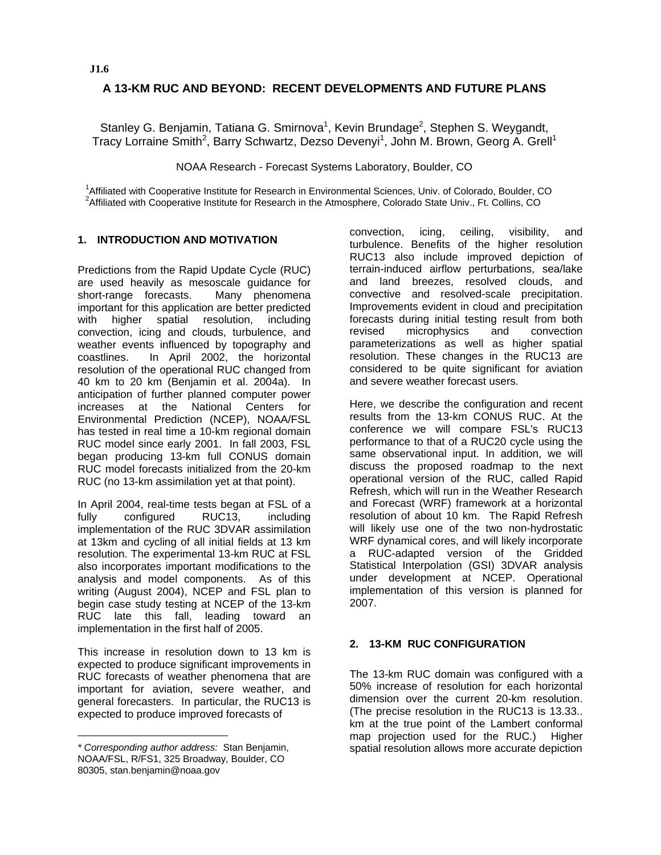# **A 13-KM RUC AND BEYOND: RECENT DEVELOPMENTS AND FUTURE PLANS**

Stanley G. Benjamin, Tatiana G. Smirnova<sup>1</sup>, Kevin Brundage<sup>2</sup>, Stephen S. Weygandt, Tracy Lorraine Smith<sup>2</sup>, Barry Schwartz, Dezso Devenyi<sup>1</sup>, John M. Brown, Georg A. Grell<sup>1</sup>

NOAA Research - Forecast Systems Laboratory, Boulder, CO

1<br>1. ffiliated with Cooperative Institute for Desearch in Envi <sup>1</sup>Affiliated with Cooperative Institute for Research in Environmental Sciences, Univ. of Colorado, Boulder, CO<br><sup>2</sup>Affiliated with Cooperative Institute for Bessersh in the Atmosphere, Colorado State Univ. Et Colline, CO <sup>2</sup> Affiliated with Cooperative Institute for Research in the Atmosphere, Colorado State Univ., Ft. Collins, CO

### **1. INTRODUCTION AND MOTIVATION**

Predictions from the Rapid Update Cycle (RUC) are used heavily as mesoscale guidance for short-range forecasts. Many phenomena important for this application are better predicted with higher spatial resolution, including convection, icing and clouds, turbulence, and weather events influenced by topography and coastlines. In April 2002, the horizontal resolution of the operational RUC changed from 40 km to 20 km (Benjamin et al. 2004a). In anticipation of further planned computer power increases at the National Centers for Environmental Prediction (NCEP), NOAA/FSL has tested in real time a 10-km regional domain RUC model since early 2001. In fall 2003, FSL began producing 13-km full CONUS domain RUC model forecasts initialized from the 20-km RUC (no 13-km assimilation yet at that point).

In April 2004, real-time tests began at FSL of a fully configured RUC13, including implementation of the RUC 3DVAR assimilation at 13km and cycling of all initial fields at 13 km resolution. The experimental 13-km RUC at FSL also incorporates important modifications to the analysis and model components. As of this writing (August 2004), NCEP and FSL plan to begin case study testing at NCEP of the 13-km RUC late this fall, leading toward an implementation in the first half of 2005.

This increase in resolution down to 13 km is expected to produce significant improvements in RUC forecasts of weather phenomena that are important for aviation, severe weather, and general forecasters. In particular, the RUC13 is expected to produce improved forecasts of

\_\_\_\_\_\_\_\_\_\_\_\_\_\_\_\_\_\_\_\_\_\_\_\_\_\_\_\_

convection, icing, ceiling, visibility, and turbulence. Benefits of the higher resolution RUC13 also include improved depiction of terrain-induced airflow perturbations, sea/lake and land breezes, resolved clouds, and convective and resolved-scale precipitation. Improvements evident in cloud and precipitation forecasts during initial testing result from both revised microphysics and convection parameterizations as well as higher spatial resolution. These changes in the RUC13 are considered to be quite significant for aviation and severe weather forecast users.

Here, we describe the configuration and recent results from the 13-km CONUS RUC. At the conference we will compare FSL's RUC13 performance to that of a RUC20 cycle using the same observational input. In addition, we will discuss the proposed roadmap to the next operational version of the RUC, called Rapid Refresh, which will run in the Weather Research and Forecast (WRF) framework at a horizontal resolution of about 10 km. The Rapid Refresh will likely use one of the two non-hydrostatic WRF dynamical cores, and will likely incorporate a RUC-adapted version of the Gridded Statistical Interpolation (GSI) 3DVAR analysis under development at NCEP. Operational implementation of this version is planned for 2007.

### **2. 13-KM RUC CONFIGURATION**

The 13-km RUC domain was configured with a 50% increase of resolution for each horizontal dimension over the current 20-km resolution. (The precise resolution in the RUC13 is 13.33.. km at the true point of the Lambert conformal map projection used for the RUC.) Higher spatial resolution allows more accurate depiction

*<sup>\*</sup> Corresponding author address:* Stan Benjamin, NOAA/FSL, R/FS1, 325 Broadway, Boulder, CO 80305, stan.benjamin@noaa.gov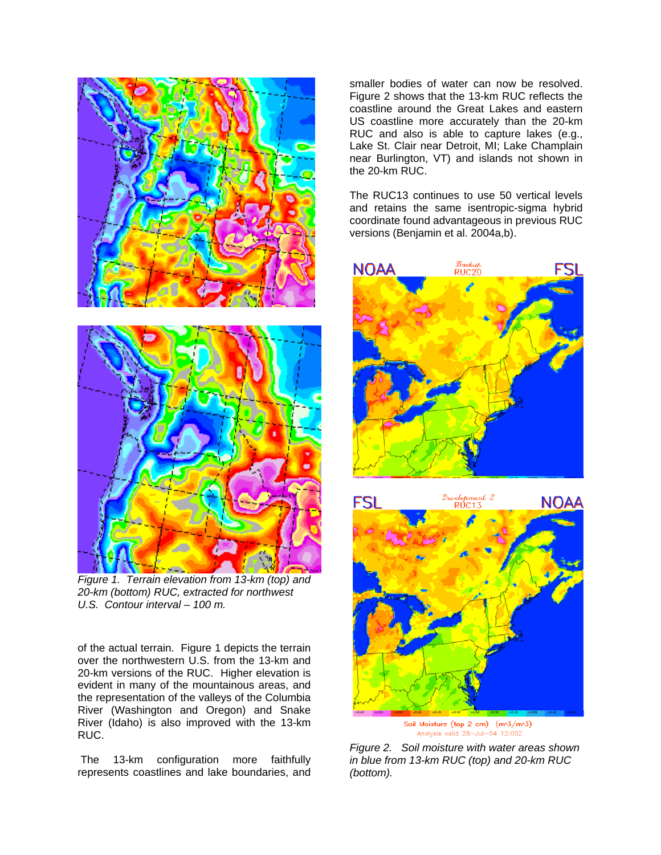

*Figure 1. Terrain elevation from 13-km (top) and 20-km (bottom) RUC, extracted for northwest U.S. Contour interval – 100 m.*

of the actual terrain. Figure 1 depicts the terrain over the northwestern U.S. from the 13-km and 20-km versions of the RUC. Higher elevation is evident in many of the mountainous areas, and the representation of the valleys of the Columbia River (Washington and Oregon) and Snake River (Idaho) is also improved with the 13-km RUC.

The 13-km configuration more faithfully represents coastlines and lake boundaries, and smaller bodies of water can now be resolved. Figure 2 shows that the 13-km RUC reflects the coastline around the Great Lakes and eastern US coastline more accurately than the 20-km RUC and also is able to capture lakes (e.g., Lake St. Clair near Detroit, MI; Lake Champlain near Burlington, VT) and islands not shown in the 20-km RUC.

The RUC13 continues to use 50 vertical levels and retains the same isentropic-sigma hybrid coordinate found advantageous in previous RUC versions (Benjamin et al. 2004a,b).





Analysis valid 28-Jul-04 12:00Z

*Figure 2. Soil moisture with water areas shown in blue from 13-km RUC (top) and 20-km RUC (bottom).*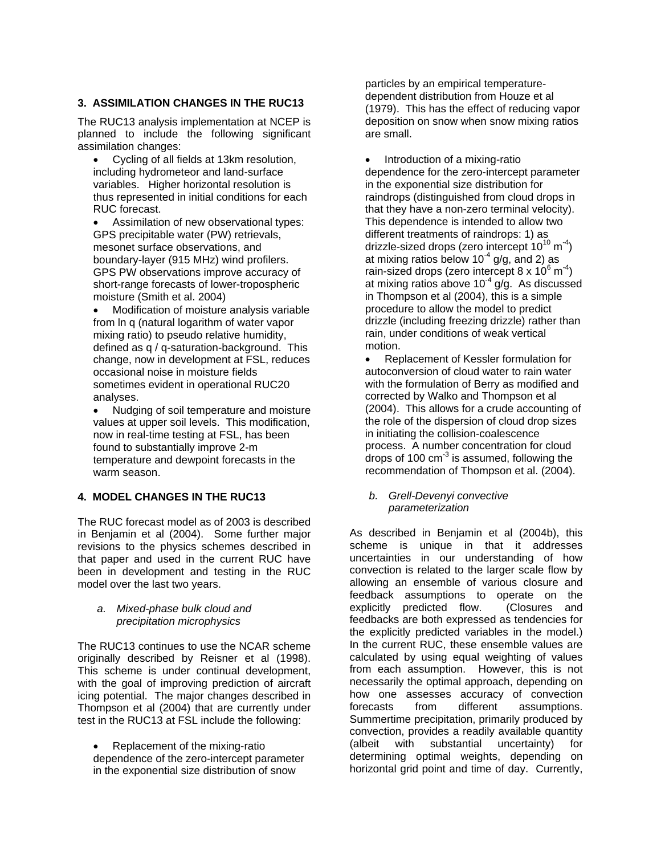# **3. ASSIMILATION CHANGES IN THE RUC13**

The RUC13 analysis implementation at NCEP is planned to include the following significant assimilation changes:

- Cycling of all fields at 13km resolution, including hydrometeor and land-surface variables. Higher horizontal resolution is thus represented in initial conditions for each RUC forecast.
- Assimilation of new observational types: GPS precipitable water (PW) retrievals, mesonet surface observations, and boundary-layer (915 MHz) wind profilers. GPS PW observations improve accuracy of short-range forecasts of lower-tropospheric moisture (Smith et al. 2004)
- Modification of moisture analysis variable from ln q (natural logarithm of water vapor mixing ratio) to pseudo relative humidity, defined as q / q-saturation-background. This change, now in development at FSL, reduces occasional noise in moisture fields sometimes evident in operational RUC20 analyses.
- Nudging of soil temperature and moisture values at upper soil levels. This modification, now in real-time testing at FSL, has been found to substantially improve 2-m temperature and dewpoint forecasts in the warm season.

# **4. MODEL CHANGES IN THE RUC13**

The RUC forecast model as of 2003 is described in Benjamin et al (2004). Some further major revisions to the physics schemes described in that paper and used in the current RUC have been in development and testing in the RUC model over the last two years.

#### *a. Mixed-phase bulk cloud and precipitation microphysics*

The RUC13 continues to use the NCAR scheme originally described by Reisner et al (1998). This scheme is under continual development, with the goal of improving prediction of aircraft icing potential. The major changes described in Thompson et al (2004) that are currently under test in the RUC13 at FSL include the following:

• Replacement of the mixing-ratio dependence of the zero-intercept parameter in the exponential size distribution of snow

particles by an empirical temperaturedependent distribution from Houze et al (1979). This has the effect of reducing vapor deposition on snow when snow mixing ratios are small.

• Introduction of a mixing-ratio dependence for the zero-intercept parameter in the exponential size distribution for raindrops (distinguished from cloud drops in that they have a non-zero terminal velocity). This dependence is intended to allow two different treatments of raindrops: 1) as drizzle-sized drops (zero intercept  $10^{10}$  m<sup>-4</sup>) at mixing ratios below  $10^{-4}$  g/g, and 2) as rain-sized drops (zero intercept 8 x  $10^6$  m<sup>-4</sup>) at mixing ratios above  $10^{-4}$  g/g. As discussed in Thompson et al (2004), this is a simple procedure to allow the model to predict drizzle (including freezing drizzle) rather than rain, under conditions of weak vertical motion.

• Replacement of Kessler formulation for autoconversion of cloud water to rain water with the formulation of Berry as modified and corrected by Walko and Thompson et al (2004). This allows for a crude accounting of the role of the dispersion of cloud drop sizes in initiating the collision-coalescence process. A number concentration for cloud drops of 100  $\text{cm}^{-3}$  is assumed, following the recommendation of Thompson et al. (2004).

#### *b. Grell-Devenyi convective parameterization*

As described in Benjamin et al (2004b), this scheme is unique in that it addresses uncertainties in our understanding of how convection is related to the larger scale flow by allowing an ensemble of various closure and feedback assumptions to operate on the explicitly predicted flow. (Closures and feedbacks are both expressed as tendencies for the explicitly predicted variables in the model.) In the current RUC, these ensemble values are calculated by using equal weighting of values from each assumption. However, this is not necessarily the optimal approach, depending on how one assesses accuracy of convection forecasts from different assumptions. Summertime precipitation, primarily produced by convection, provides a readily available quantity (albeit with substantial uncertainty) for determining optimal weights, depending on horizontal grid point and time of day. Currently,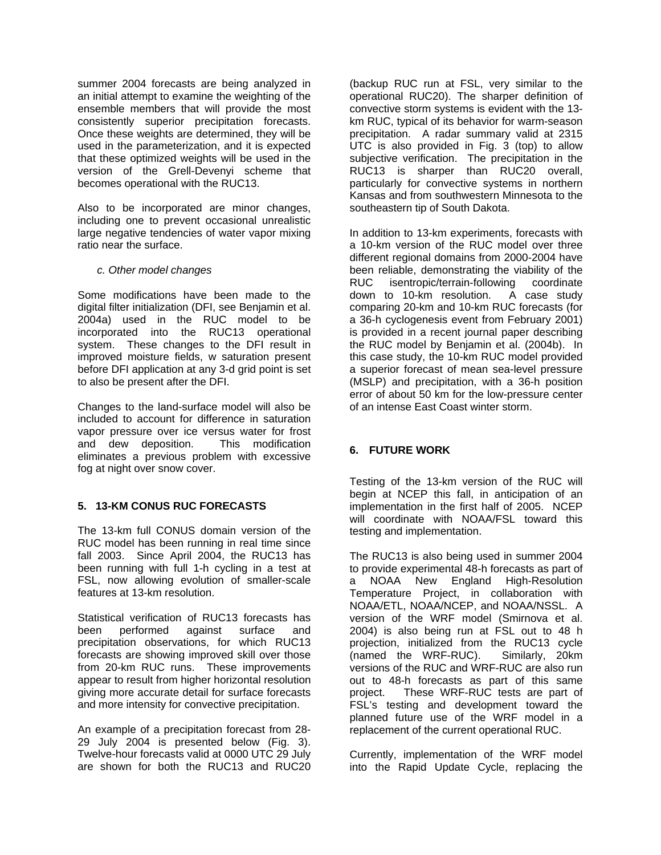summer 2004 forecasts are being analyzed in an initial attempt to examine the weighting of the ensemble members that will provide the most consistently superior precipitation forecasts. Once these weights are determined, they will be used in the parameterization, and it is expected that these optimized weights will be used in the version of the Grell-Devenyi scheme that becomes operational with the RUC13.

Also to be incorporated are minor changes, including one to prevent occasional unrealistic large negative tendencies of water vapor mixing ratio near the surface.

### *c. Other model changes*

Some modifications have been made to the digital filter initialization (DFI, see Benjamin et al. 2004a) used in the RUC model to be incorporated into the RUC13 operational system. These changes to the DFI result in improved moisture fields, w saturation present before DFI application at any 3-d grid point is set to also be present after the DFI.

Changes to the land-surface model will also be included to account for difference in saturation vapor pressure over ice versus water for frost and dew deposition. This modification eliminates a previous problem with excessive fog at night over snow cover.

# **5. 13-KM CONUS RUC FORECASTS**

The 13-km full CONUS domain version of the RUC model has been running in real time since fall 2003. Since April 2004, the RUC13 has been running with full 1-h cycling in a test at FSL, now allowing evolution of smaller-scale features at 13-km resolution.

Statistical verification of RUC13 forecasts has been performed against surface and precipitation observations, for which RUC13 forecasts are showing improved skill over those from 20-km RUC runs. These improvements appear to result from higher horizontal resolution giving more accurate detail for surface forecasts and more intensity for convective precipitation.

An example of a precipitation forecast from 28- 29 July 2004 is presented below (Fig. 3). Twelve-hour forecasts valid at 0000 UTC 29 July are shown for both the RUC13 and RUC20

(backup RUC run at FSL, very similar to the operational RUC20). The sharper definition of convective storm systems is evident with the 13 km RUC, typical of its behavior for warm-season precipitation. A radar summary valid at 2315 UTC is also provided in Fig. 3 (top) to allow subjective verification. The precipitation in the RUC13 is sharper than RUC20 overall, particularly for convective systems in northern Kansas and from southwestern Minnesota to the southeastern tip of South Dakota.

In addition to 13-km experiments, forecasts with a 10-km version of the RUC model over three different regional domains from 2000-2004 have been reliable, demonstrating the viability of the RUC isentropic/terrain-following coordinate down to 10-km resolution. A case study comparing 20-km and 10-km RUC forecasts (for a 36-h cyclogenesis event from February 2001) is provided in a recent journal paper describing the RUC model by Benjamin et al. (2004b). In this case study, the 10-km RUC model provided a superior forecast of mean sea-level pressure (MSLP) and precipitation, with a 36-h position error of about 50 km for the low-pressure center of an intense East Coast winter storm.

# **6. FUTURE WORK**

Testing of the 13-km version of the RUC will begin at NCEP this fall, in anticipation of an implementation in the first half of 2005. NCEP will coordinate with NOAA/FSL toward this testing and implementation.

The RUC13 is also being used in summer 2004 to provide experimental 48-h forecasts as part of a NOAA New England High-Resolution Temperature Project, in collaboration with NOAA/ETL, NOAA/NCEP, and NOAA/NSSL. A version of the WRF model (Smirnova et al. 2004) is also being run at FSL out to 48 h projection, initialized from the RUC13 cycle<br>(named the WRF-RUC). Similarly, 20km  $(named$  the WRF-RUC). versions of the RUC and WRF-RUC are also run out to 48-h forecasts as part of this same project. These WRF-RUC tests are part of FSL's testing and development toward the planned future use of the WRF model in a replacement of the current operational RUC.

Currently, implementation of the WRF model into the Rapid Update Cycle, replacing the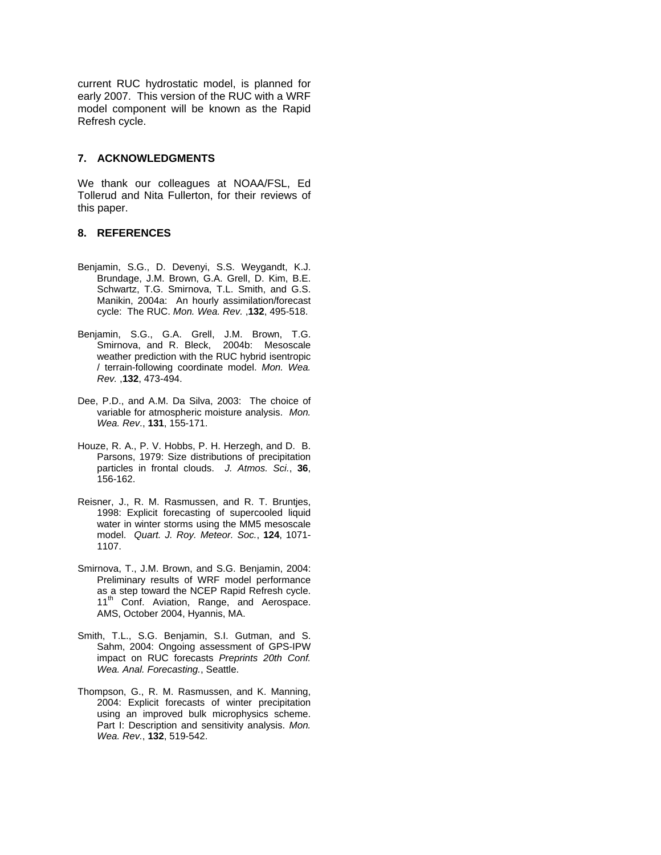current RUC hydrostatic model, is planned for early 2007. This version of the RUC with a WRF model component will be known as the Rapid Refresh cycle.

#### **7. ACKNOWLEDGMENTS**

We thank our colleagues at NOAA/FSL, Ed Tollerud and Nita Fullerton, for their reviews of this paper.

#### **8. REFERENCES**

- Benjamin, S.G., D. Devenyi, S.S. Weygandt, K.J. Brundage, J.M. Brown, G.A. Grell, D. Kim, B.E. Schwartz, T.G. Smirnova, T.L. Smith, and G.S. Manikin, 2004a: An hourly assimilation/forecast cycle: The RUC. *Mon. Wea. Rev.* ,**132**, 495-518.
- Benjamin, S.G., G.A. Grell, J.M. Brown, T.G. Smirnova, and R. Bleck, 2004b: Mesoscale weather prediction with the RUC hybrid isentropic / terrain-following coordinate model. *Mon. Wea. Rev.* ,**132**, 473-494.
- Dee, P.D., and A.M. Da Silva, 2003: The choice of variable for atmospheric moisture analysis. *Mon. Wea. Rev*., **131**, 155-171.
- Houze, R. A., P. V. Hobbs, P. H. Herzegh, and D. B. Parsons, 1979: Size distributions of precipitation particles in frontal clouds. *J. Atmos. Sci.*, **36**, 156-162.
- Reisner, J., R. M. Rasmussen, and R. T. Bruntjes, 1998: Explicit forecasting of supercooled liquid water in winter storms using the MM5 mesoscale model. *Quart. J. Roy. Meteor. Soc.*, **124**, 1071- 1107.
- Smirnova, T., J.M. Brown, and S.G. Benjamin, 2004: Preliminary results of WRF model performance as a step toward the NCEP Rapid Refresh cycle. 11<sup>th</sup> Conf. Aviation, Range, and Aerospace. AMS, October 2004, Hyannis, MA.
- Smith, T.L., S.G. Benjamin, S.I. Gutman, and S. Sahm, 2004: Ongoing assessment of GPS-IPW impact on RUC forecasts *Preprints 20th Conf. Wea. Anal. Forecasting.*, Seattle.
- Thompson, G., R. M. Rasmussen, and K. Manning, 2004: Explicit forecasts of winter precipitation using an improved bulk microphysics scheme. Part I: Description and sensitivity analysis. *Mon. Wea. Rev.*, **132**, 519-542.